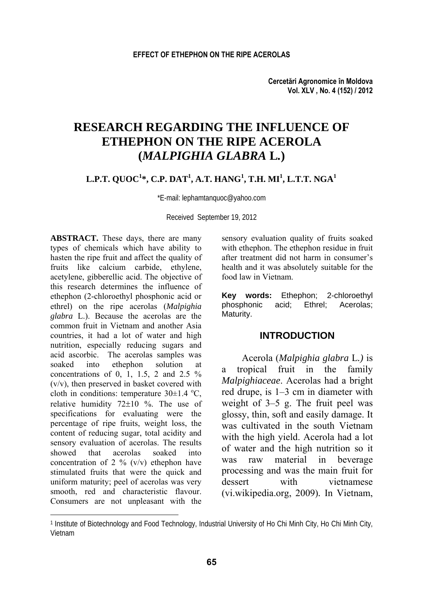# **RESEARCH REGARDING THE INFLUENCE OF ETHEPHON ON THE RIPE ACEROLA (***MALPIGHIA GLABRA* **L***.***)**

### $\mathbf{L.P.T.}\ \mathbf{QUOC^1*}, \mathbf{C.P.}\ \mathbf{DAT^1}, \mathbf{A.T.}\ \mathbf{HANG^1}, \mathbf{T.H.}\ \mathbf{MI^1}, \mathbf{L.T.T.}\ \mathbf{NGA^1}$

\*E-mail: lephamtanquoc@yahoo.com

Received September 19, 2012

**ABSTRACT.** These days, there are many types of chemicals which have ability to hasten the ripe fruit and affect the quality of fruits like calcium carbide, ethylene, acetylene, gibberellic acid. The objective of this research determines the influence of ethephon (2-chloroethyl phosphonic acid or ethrel) on the ripe acerolas (*Malpighia glabra* L.). Because the acerolas are the common fruit in Vietnam and another Asia countries, it had a lot of water and high nutrition, especially reducing sugars and acid ascorbic. The acerolas samples was soaked into ethephon solution at concentrations of 0, 1, 1.5, 2 and 2.5  $\%$ (v/v), then preserved in basket covered with cloth in conditions: temperature  $30\pm1.4$  °C, relative humidity 72±10 %. The use of specifications for evaluating were the percentage of ripe fruits, weight loss, the content of reducing sugar, total acidity and sensory evaluation of acerolas. The results showed that acerolas soaked into concentration of 2  $\%$  (v/v) ethephon have stimulated fruits that were the quick and uniform maturity; peel of acerolas was very smooth, red and characteristic flavour. Consumers are not unpleasant with the

l

sensory evaluation quality of fruits soaked with ethephon. The ethephon residue in fruit after treatment did not harm in consumer's health and it was absolutely suitable for the food law in Vietnam.

**Key words:** Ethephon; 2-chloroethyl phosphonic acid; Ethrel; Acerolas; Maturity.

#### **INTRODUCTION**

Acerola (*Malpighia glabra* L*.)* is a tropical fruit in the family *Malpighiaceae*. Acerolas had a bright red drupe, is 1–3 cm in diameter with weight of 3–5 g. The fruit peel was glossy, thin, soft and easily damage. It was cultivated in the south Vietnam with the high yield. Acerola had a lot of water and the high nutrition so it was raw material in beverage processing and was the main fruit for dessert with vietnamese (vi.wikipedia.org, 2009)*.* In Vietnam,

<sup>1</sup> Institute of Biotechnology and Food Technology, Industrial University of Ho Chi Minh City, Ho Chi Minh City, Vietnam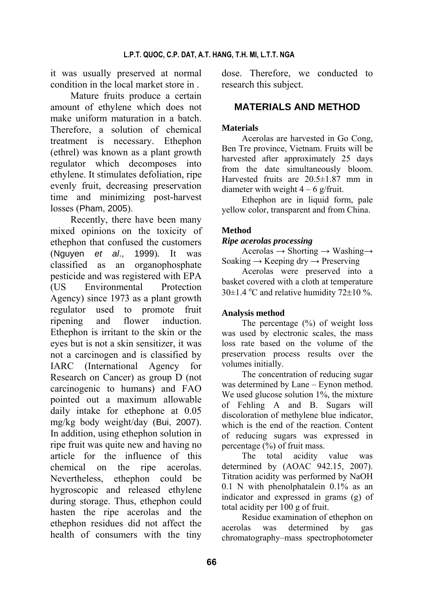it was usually preserved at normal condition in the local market store in .

Mature fruits produce a certain amount of ethylene which does not make uniform maturation in a batch. Therefore, a solution of chemical treatment is necessary. Ethephon (ethrel) was known as a plant growth regulator which decomposes into ethylene. It stimulates defoliation, ripe evenly fruit, decreasing preservation time and minimizing post-harvest losses (Pham, 2005).

Recently, there have been many mixed opinions on the toxicity of ethephon that confused the customers (Nguyen *et al*., 1999)*.* It was classified as an organophosphate pesticide and was registered with EPA (US Environmental Protection Agency) since 1973 as a plant growth regulator used to promote fruit ripening and flower induction. Ethephon is irritant to the skin or the eyes but is not a skin sensitizer, it was not a carcinogen and is classified by IARC (International Agency for Research on Cancer) as group D (not carcinogenic to humans) and FAO pointed out a maximum allowable daily intake for ethephone at 0.05 mg/kg body weight/day (Bui, 2007). In addition, using ethephon solution in ripe fruit was quite new and having no article for the influence of this chemical on the ripe acerolas. Nevertheless, ethephon could be hygroscopic and released ethylene during storage. Thus, ethephon could hasten the ripe acerolas and the ethephon residues did not affect the health of consumers with the tiny

dose. Therefore, we conducted to research this subject.

# **MATERIALS AND METHOD**

## **Materials**

Acerolas are harvested in Go Cong, Ben Tre province, Vietnam. Fruits will be harvested after approximately 25 days from the date simultaneously bloom. Harvested fruits are 20.5±1.87 mm in diameter with weight  $4 - 6$  g/fruit.

Ethephon are in liquid form, pale yellow color, transparent and from China.

# **Method**

### *Ripe acerolas processing*

Acerolas  $\rightarrow$  Shorting  $\rightarrow$  Washing $\rightarrow$ Soaking  $\rightarrow$  Keeping dry  $\rightarrow$  Preserving

Acerolas were preserved into a basket covered with a cloth at temperature 30 $\pm$ 1.4 °C and relative humidity 72 $\pm$ 10 %.

## **Analysis method**

The percentage  $(\%)$  of weight loss was used by electronic scales, the mass loss rate based on the volume of the preservation process results over the volumes initially.

The concentration of reducing sugar was determined by Lane – Eynon method. We used glucose solution 1%, the mixture of Fehling A and B. Sugars will discoloration of methylene blue indicator, which is the end of the reaction. Content of reducing sugars was expressed in percentage (%) of fruit mass.

The total acidity value was determined by (AOAC 942.15, 2007). Titration acidity was performed by NaOH 0.1 N with phenolphatalein 0.1% as an indicator and expressed in grams (g) of total acidity per 100 g of fruit.

Residue examination of ethephon on acerolas was determined by gas chromatography–mass spectrophotometer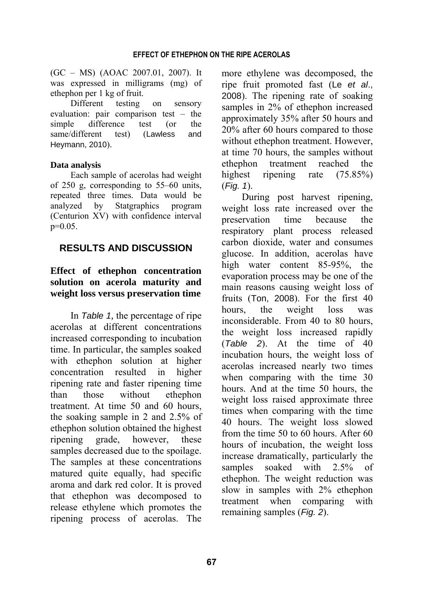(GC – MS) (AOAC 2007.01, 2007). It was expressed in milligrams (mg) of ethephon per 1 kg of fruit.

Different testing on sensory evaluation: pair comparison test – the simple difference test (or the same/different test) (Lawless and Heymann, 2010).

#### **Data analysis**

Each sample of acerolas had weight of 250 g, corresponding to 55–60 units, repeated three times. Data would be analyzed by Statgraphics program (Centurion XV) with confidence interval  $p=0.05$ .

# **RESULTS AND DISCUSSION**

# **Effect of ethephon concentration solution on acerola maturity and weight loss versus preservation time**

In *Table 1,* the percentage of ripe acerolas at different concentrations increased corresponding to incubation time. In particular, the samples soaked with ethephon solution at higher concentration resulted in higher ripening rate and faster ripening time than those without ethephon treatment. At time 50 and 60 hours, the soaking sample in 2 and 2.5% of ethephon solution obtained the highest ripening grade, however, these samples decreased due to the spoilage. The samples at these concentrations matured quite equally, had specific aroma and dark red color. It is proved that ethephon was decomposed to release ethylene which promotes the ripening process of acerolas. The

more ethylene was decomposed, the ripe fruit promoted fast (Le *et al*., 2008). The ripening rate of soaking samples in 2% of ethephon increased approximately 35% after 50 hours and 20% after 60 hours compared to those without ethephon treatment. However, at time 70 hours, the samples without ethephon treatment reached the highest ripening rate (75.85%) (*Fig. 1*).

During post harvest ripening, weight loss rate increased over the preservation time because the respiratory plant process released carbon dioxide, water and consumes glucose. In addition, acerolas have high water content 85-95%, the evaporation process may be one of the main reasons causing weight loss of fruits (Ton, 2008). For the first 40 hours, the weight loss was inconsiderable. From 40 to 80 hours, the weight loss increased rapidly (*Table 2*). At the time of 40 incubation hours, the weight loss of acerolas increased nearly two times when comparing with the time 30 hours. And at the time 50 hours, the weight loss raised approximate three times when comparing with the time 40 hours. The weight loss slowed from the time 50 to 60 hours. After 60 hours of incubation, the weight loss increase dramatically, particularly the samples soaked with 2.5% of ethephon. The weight reduction was slow in samples with 2% ethephon treatment when comparing with remaining samples (*Fig. 2*).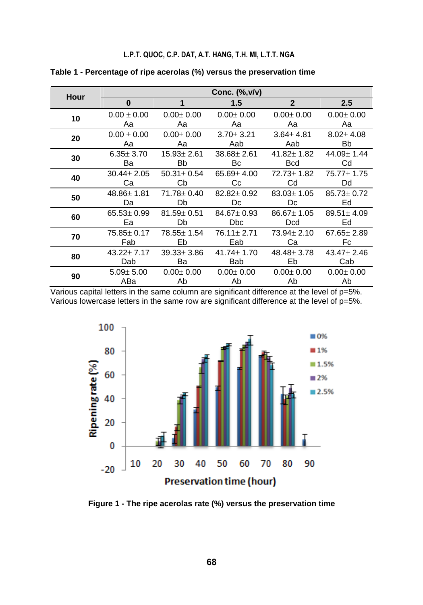#### **L.P.T. QUOC, C.P. DAT, A.T. HANG, T.H. MI, L.T.T. NGA**

| Hour |                  |                  | Conc. $(\%,\forall/\forall)$ |                  |                  |
|------|------------------|------------------|------------------------------|------------------|------------------|
|      | $\bf{0}$         | 1                | 1.5                          | $\mathbf{2}$     | 2.5              |
| 10   | $0.00 \pm 0.00$  | $0.00 \pm 0.00$  | $0.00 \pm 0.00$              | $0.00 \pm 0.00$  | $0.00 \pm 0.00$  |
|      | Aa               | Aa               | Αа                           | Aа               | Αа               |
| 20   | $0.00 \pm 0.00$  | $0.00 + 0.00$    | $3.70 + 3.21$                | $3.64 + 4.81$    | $8.02 \pm 4.08$  |
|      | Aa               | Aa               | Aab                          | Aab              | Bb               |
| 30   | $6.35 \pm 3.70$  | $15.93 \pm 2.61$ | $38.68 \pm 2.61$             | $41.82 \pm 1.82$ | 44.09± 1.44      |
|      | Ba               | Bb               | Вc                           | <b>Bcd</b>       | Cd               |
| 40   | $30.44 \pm 2.05$ | $50.31 \pm 0.54$ | $65.69 \pm 4.00$             | 72.73 ± 1.82     | $75.77 \pm 1.75$ |
|      | Cа               | Сb               | Сc                           | Cd               | Dd               |
| 50   | $48.86 \pm 1.81$ | $71.78 \pm 0.40$ | $82.82 \pm 0.92$             | $83.03 \pm 1.05$ | $85.73 \pm 0.72$ |
|      | Da               | Db               | Dc                           | Dc               | Ed               |
| 60   | $65.53 \pm 0.99$ | $81.59 \pm 0.51$ | $84.67 \pm 0.93$             | $86.67 \pm 1.05$ | $89.51 \pm 4.09$ |
|      | Ea               | Db               | <b>Dbc</b>                   | <b>Dcd</b>       | Ed               |
| 70   | $75.85 \pm 0.17$ | $78.55 \pm 1.54$ | 76.11 ± 2.71                 | $73.94 \pm 2.10$ | $67.65 \pm 2.89$ |
|      | Fab              | Eb               | Eab                          | Cа               | Fc               |
| 80   | $43.22 + 7.17$   | $39.33 \pm 3.86$ | $41.74 \pm 1.70$             | 48.48 ± 3.78     | $43.47 \pm 2.46$ |
|      | Dab              | Ba               | Bab                          | Eb               | Cab              |
| 90   | $5.09 \pm 5.00$  | $0.00 + 0.00$    | $0.00 \pm 0.00$              | $0.00 + 0.00$    | $0.00 \pm 0.00$  |
|      | ABa              | Ab               | Ab                           | Ab               | Ab               |

**Table 1 - Percentage of ripe acerolas (%) versus the preservation time** 



**Figure 1 - The ripe acerolas rate (%) versus the preservation time**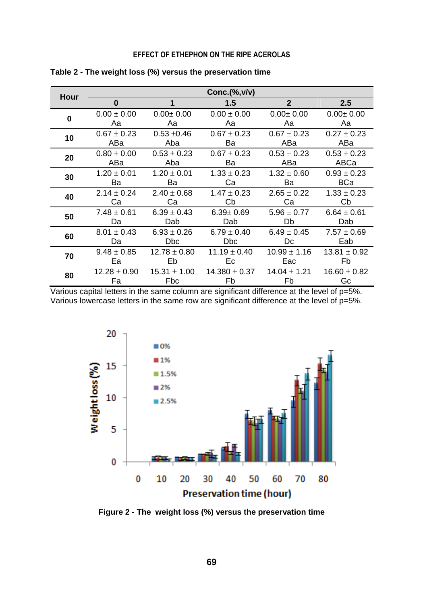### **EFFECT OF ETHEPHON ON THE RIPE ACEROLAS**

| Hour | Conc.(%, v/v)    |                  |                   |                  |                  |  |
|------|------------------|------------------|-------------------|------------------|------------------|--|
|      | $\bf{0}$         | 1                | 1.5               | $\overline{2}$   | 2.5              |  |
| 0    | $0.00 \pm 0.00$  | $0.00 + 0.00$    | $0.00 \pm 0.00$   | $0.00 \pm 0.00$  | $0.00 \pm 0.00$  |  |
|      | Aa               | Aa               | Aа                | Aa               | Aa               |  |
| 10   | $0.67 \pm 0.23$  | $0.53 + 0.46$    | $0.67 \pm 0.23$   | $0.67 \pm 0.23$  | $0.27 \pm 0.23$  |  |
|      | ABa              | Aba              | Ba                | ABa              | ABa              |  |
| 20   | $0.80 \pm 0.00$  | $0.53 \pm 0.23$  | $0.67 \pm 0.23$   | $0.53 \pm 0.23$  | $0.53 \pm 0.23$  |  |
|      | ABa              | Aba              | Ba                | ABa              | ABCa             |  |
| 30   | $1.20 \pm 0.01$  | $1.20 \pm 0.01$  | $1.33 \pm 0.23$   | $1.32 \pm 0.60$  | $0.93 \pm 0.23$  |  |
|      | Ba               | Ba               | Cа                | Ba               | <b>BCa</b>       |  |
| 40   | $2.14 \pm 0.24$  | $2.40 \pm 0.68$  | $1.47 \pm 0.23$   | $2.65 \pm 0.22$  | $1.33 \pm 0.23$  |  |
|      | Ca               | Ca               | Сb                | Cа               | Cb               |  |
| 50   | $7.48 \pm 0.61$  | $6.39 \pm 0.43$  | $6.39 \pm 0.69$   | $5.96 \pm 0.77$  | $6.64 \pm 0.61$  |  |
|      | Da               | Dab              | Dab               | Db               | Dab              |  |
| 60   | $8.01 \pm 0.43$  | $6.93 \pm 0.26$  | $6.79 \pm 0.40$   | $6.49 \pm 0.45$  | $7.57 \pm 0.69$  |  |
|      | Da               | Dbc.             | Dbc.              | Dc               | Eab              |  |
| 70   | $9.48 \pm 0.85$  | $12.78 \pm 0.80$ | $11.19 \pm 0.40$  | $10.99 \pm 1.16$ | $13.81 \pm 0.92$ |  |
|      | Ea               | Eb               | Ec                | Eac              | Fb               |  |
| 80   | $12.28 \pm 0.90$ | $15.31 \pm 1.00$ | $14.380 \pm 0.37$ | $14.04 \pm 1.21$ | $16.60 \pm 0.82$ |  |
|      | Fa               | Fbc              | Fb                | Fb               | Gc               |  |

**Table 2 - The weight loss (%) versus the preservation time** 



**Figure 2 - The weight loss (%) versus the preservation time**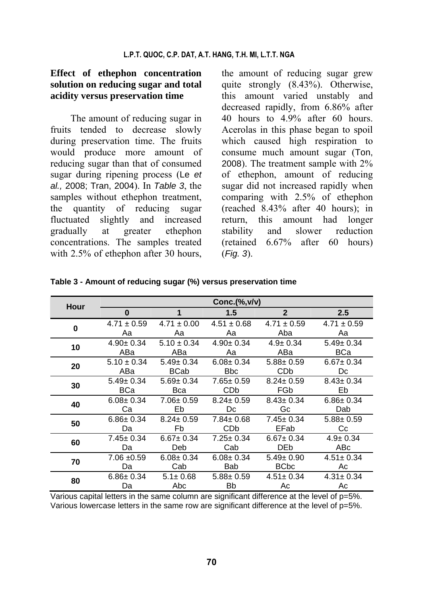## **Effect of ethephon concentration solution on reducing sugar and total acidity versus preservation time**

The amount of reducing sugar in fruits tended to decrease slowly during preservation time. The fruits would produce more amount of reducing sugar than that of consumed sugar during ripening process (Le *et al.,* 2008; Tran, 2004). In *Table 3*, the samples without ethephon treatment, the quantity of reducing sugar fluctuated slightly and increased gradually at greater ethephon concentrations. The samples treated with 2.5% of ethephon after 30 hours,

the amount of reducing sugar grew quite strongly (8.43%). Otherwise, this amount varied unstably and decreased rapidly, from 6.86% after 40 hours to 4.9% after 60 hours. Acerolas in this phase began to spoil which caused high respiration to consume much amount sugar (Ton, 2008). The treatment sample with 2% of ethephon, amount of reducing sugar did not increased rapidly when comparing with 2.5% of ethephon (reached 8.43% after 40 hours); in return, this amount had longer stability and slower reduction (retained 6.67% after 60 hours) (*Fig. 3*).

| Hour | $Conc.$ $\%$ , $v/v$ ) |                 |                 |                 |                 |
|------|------------------------|-----------------|-----------------|-----------------|-----------------|
|      | 0                      | 1               | 1.5             | $\mathbf{2}$    | 2.5             |
| 0    | $4.71 \pm 0.59$        | $4.71 \pm 0.00$ | $4.51 \pm 0.68$ | $4.71 \pm 0.59$ | $4.71 \pm 0.59$ |
|      | Aa                     | Aa              | Aa              | Aba             | Aa              |
| 10   | $4.90 \pm 0.34$        | $5.10 \pm 0.34$ | $4.90 \pm 0.34$ | $4.9 \pm 0.34$  | $5.49 \pm 0.34$ |
|      | ABa                    | ABa             | Aa              | ABa             | BCa             |
| 20   | $5.10 \pm 0.34$        | $5.49 \pm 0.34$ | $6.08 \pm 0.34$ | $5.88 \pm 0.59$ | $6.67 \pm 0.34$ |
|      | ABa                    | <b>BCab</b>     | <b>Bbc</b>      | CDb             | Dc              |
| 30   | $5.49 \pm 0.34$        | $5.69 \pm 0.34$ | $7.65 \pm 0.59$ | $8.24 \pm 0.59$ | $8.43 \pm 0.34$ |
|      | <b>BCa</b>             | Bca             | CDb             | FGb             | Eb              |
| 40   | $6.08 \pm 0.34$        | $7.06 \pm 0.59$ | $8.24 \pm 0.59$ | $8.43 \pm 0.34$ | $6.86 \pm 0.34$ |
|      | Ca                     | Eb              | Dc              | Gc              | Dab             |
| 50   | $6.86 \pm 0.34$        | $8.24 \pm 0.59$ | $7.84 \pm 0.68$ | $7.45 \pm 0.34$ | $5.88 \pm 0.59$ |
|      | Da                     | Fb              | CDb             | EFab            | Сc              |
| 60   | $7.45 \pm 0.34$        | $6.67 \pm 0.34$ | $7.25 \pm 0.34$ | $6.67 \pm 0.34$ | $4.9 \pm 0.34$  |
|      | Da                     | Deb             | Cab             | <b>DEb</b>      | ABc             |
| 70   | $7.06 \pm 0.59$        | $6.08 \pm 0.34$ | $6.08 \pm 0.34$ | $5.49 \pm 0.90$ | $4.51 \pm 0.34$ |
|      | Da                     | Cab             | Bab             | <b>BCbc</b>     | Ac              |
| 80   | $6.86 \pm 0.34$        | $5.1 \pm 0.68$  | $5.88 \pm 0.59$ | $4.51 \pm 0.34$ | $4.31 \pm 0.34$ |
|      | Da                     | Abc             | <b>Bb</b>       | Ac              | Ac              |

**Table 3 - Amount of reducing sugar (%) versus preservation time**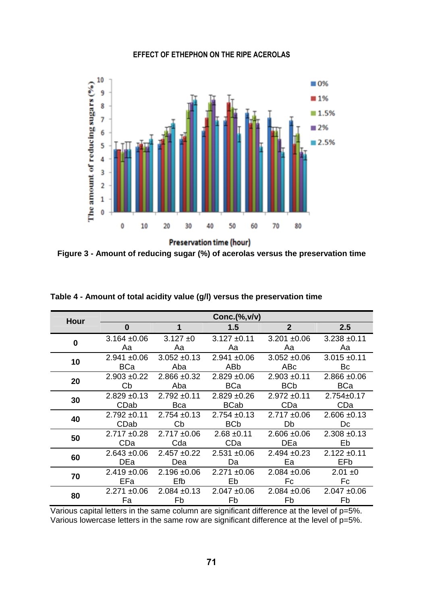### **EFFECT OF ETHEPHON ON THE RIPE ACEROLAS**



Preservation time (hour)

**Figure 3 - Amount of reducing sugar (%) of acerolas versus the preservation time** 

| Hour |                  |                  | $Conc.$ $\%$ , $v/v$ ) |                  |                  |
|------|------------------|------------------|------------------------|------------------|------------------|
|      | $\bf{0}$         | 1                | 1.5                    | $\overline{2}$   | 2.5              |
| 0    | $3.164 + 0.06$   | $3.127 \pm 0$    | $3.127 \pm 0.11$       | $3.201 + 0.06$   | $3.238 + 0.11$   |
|      | Aa               | Aa               | Aa                     | Aa               | Aa               |
| 10   | $2.941 \pm 0.06$ | $3.052 \pm 0.13$ | $2.941 \pm 0.06$       | $3.052 \pm 0.06$ | $3.015 \pm 0.11$ |
|      | BCa              | Aba              | ABb                    | ABc              | Bc               |
| 20   | $2.903 + 0.22$   | $2.866 \pm 0.32$ | $2.829 \pm 0.06$       | $2.903 + 0.11$   | $2.866 \pm 0.06$ |
|      | Cb               | Aba              | BCa                    | BC <sub>b</sub>  | BCa              |
| 30   | $2.829 \pm 0.13$ | $2.792 \pm 0.11$ | $2.829 + 0.26$         | $2.972 \pm 0.11$ | $2.754 \pm 0.17$ |
|      | CDab             | Bca              | <b>BCab</b>            | CDa              | CDa              |
| 40   | $2.792 \pm 0.11$ | $2.754 \pm 0.13$ | $2.754 \pm 0.13$       | $2.717 \pm 0.06$ | $2.606 \pm 0.13$ |
|      | CDab             | Cb               | <b>BCb</b>             | Db               | Dc               |
| 50   | $2.717 \pm 0.28$ | $2.717 \pm 0.06$ | $2.68 \pm 0.11$        | $2.606 \pm 0.06$ | $2.308 + 0.13$   |
|      | CDa              | Cda              | CDa                    | DEa              | Eb               |
| 60   | $2.643 \pm 0.06$ | $2.457 + 0.22$   | $2.531 + 0.06$         | $2.494 \pm 0.23$ | $2.122 \pm 0.11$ |
|      | DEa              | Dea              | Da                     | Ea               | EFb.             |
| 70   | $2.419 \pm 0.06$ | $2.196 \pm 0.06$ | $2.271 \pm 0.06$       | $2.084 \pm 0.06$ | $2.01 \pm 0$     |
|      | EFa              | Efb              | Eb                     | Fc               | Fc               |
| 80   | $2.271 \pm 0.06$ | $2.084 \pm 0.13$ | $2.047 \pm 0.06$       | $2.084 \pm 0.06$ | $2.047 + 0.06$   |
|      | Fa               | Fb               | Fb                     | Fb               | Fb               |

**Table 4 - Amount of total acidity value (g/l) versus the preservation time**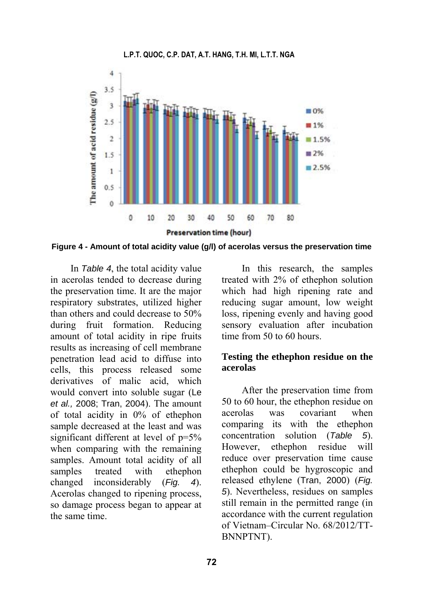

**Figure 4 - Amount of total acidity value (g/l) of acerolas versus the preservation time** 

In *Table 4*, the total acidity value in acerolas tended to decrease during the preservation time. It are the major respiratory substrates, utilized higher than others and could decrease to 50% during fruit formation. Reducing amount of total acidity in ripe fruits results as increasing of cell membrane penetration lead acid to diffuse into cells, this process released some derivatives of malic acid, which would convert into soluble sugar (Le *et al.,* 2008; Tran, 2004). The amount of total acidity in 0% of ethephon sample decreased at the least and was significant different at level of  $p=5%$ when comparing with the remaining samples. Amount total acidity of all samples treated with ethephon changed inconsiderably (*Fig. 4*). Acerolas changed to ripening process, so damage process began to appear at the same time.

In this research, the samples treated with 2% of ethephon solution which had high ripening rate and reducing sugar amount, low weight loss, ripening evenly and having good sensory evaluation after incubation time from 50 to 60 hours.

### **Testing the ethephon residue on the acerolas**

After the preservation time from 50 to 60 hour, the ethephon residue on acerolas was covariant when comparing its with the ethephon concentration solution (*Table 5*). However, ethephon residue will reduce over preservation time cause ethephon could be hygroscopic and released ethylene (Tran, 2000) (*Fig. 5*). Nevertheless, residues on samples still remain in the permitted range (in accordance with the current regulation of Vietnam–Circular No. 68/2012/TT-BNNPTNT).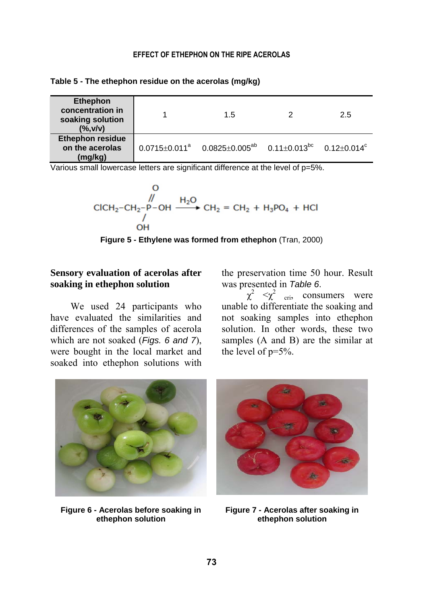| Table 5 - The ethephon residue on the acerolas (mg/kg) |  |  |
|--------------------------------------------------------|--|--|
|--------------------------------------------------------|--|--|

| <b>Ethephon</b><br>concentration in<br>soaking solution<br>( %, v/v) | 1.5                                                                                   | 2.5 |
|----------------------------------------------------------------------|---------------------------------------------------------------------------------------|-----|
| <b>Ethephon residue</b><br>on the acerolas<br>(mg/kg)                | $0.0715 \pm 0.011^a$ $0.0825 \pm 0.005^{ab}$ $0.11 \pm 0.013^{bc}$ $0.12 \pm 0.014^c$ |     |

Various small lowercase letters are significant difference at the level of p=5%.

$$
\begin{array}{ccc}\n & 0 \\
& \mathcal{N} \\
& \mathcal{N} \\
& \mathcal{N} \\
& \mathcal{N} \\
& \mathcal{O} \\
& \mathcal{O} \\
& \mathcal{O} \\
& \mathcal{O} \\
& \mathcal{O} \\
& \mathcal{O} \\
& \mathcal{O} \\
& \mathcal{O} \\
& \mathcal{O} \\
& \mathcal{O} \\
& \mathcal{O} \\
& \mathcal{O} \\
& \mathcal{O} \\
& \mathcal{O} \\
& \mathcal{O} \\
& \mathcal{O} \\
& \mathcal{O} \\
& \mathcal{O} \\
& \mathcal{O} \\
& \mathcal{O} \\
& \mathcal{O} \\
& \mathcal{O} \\
& \mathcal{O} \\
& \mathcal{O} \\
& \mathcal{O} \\
& \mathcal{O} \\
& \mathcal{O} \\
& \mathcal{O} \\
& \mathcal{O} \\
& \mathcal{O} \\
& \mathcal{O} \\
& \mathcal{O} \\
& \mathcal{O} \\
& \mathcal{O} \\
& \mathcal{O} \\
& \mathcal{O} \\
& \mathcal{O} \\
& \mathcal{O} \\
& \mathcal{O} \\
& \mathcal{O} \\
& \mathcal{O} \\
& \mathcal{O} \\
& \mathcal{O} \\
& \mathcal{O} \\
& \mathcal{O} \\
& \mathcal{O} \\
& \mathcal{O} \\
& \mathcal{O} \\
& \mathcal{O} \\
& \mathcal{O} \\
& \mathcal{O} \\
& \mathcal{O} \\
& \mathcal{O} \\
& \mathcal{O} \\
& \mathcal{O} \\
& \mathcal{O} \\
& \mathcal{O} \\
& \mathcal{O} \\
& \mathcal{O} \\
& \mathcal{O} \\
& \mathcal{O} \\
& \mathcal{O} \\
& \mathcal{O} \\
& \mathcal{O} \\
& \mathcal{O} \\
& \mathcal{O} \\
& \mathcal{O} \\
& \mathcal{O} \\
& \mathcal{O} \\
& \mathcal{O} \\
& \mathcal{O} \\
& \mathcal{O} \\
& \mathcal{O} \\
& \mathcal{O} \\
& \mathcal{O} \\
& \mathcal{O} \\
& \mathcal{O} \\
& \mathcal{O} \\
& \mathcal{O} \\
& \mathcal{O} \\
& \mathcal{O} \\
& \mathcal{O} \\
& \mathcal{O} \\
& \mathcal{O} \\
& \mathcal{O} \\
& \mathcal{O} \\
& \mathcal{O} \\
& \mathcal{O} \\
& \mathcal{O} \\
& \mathcal
$$

**Figure 5 - Ethylene was formed from ethephon** (Tran, 2000)

# **Sensory evaluation of acerolas after soaking in ethephon solution**

We used 24 participants who have evaluated the similarities and differences of the samples of acerola which are not soaked (*Figs. 6 and 7*), were bought in the local market and soaked into ethephon solutions with the preservation time 50 hour. Result was presented in *Table 6*.

 $\chi^2$   $\lt \chi^2$  <sub>cri</sub>, consumers were unable to differentiate the soaking and not soaking samples into ethephon solution. In other words, these two samples (A and B) are the similar at the level of p=5%.



**Figure 6 - Acerolas before soaking in ethephon solution** 



**Figure 7 - Acerolas after soaking in ethephon solution**